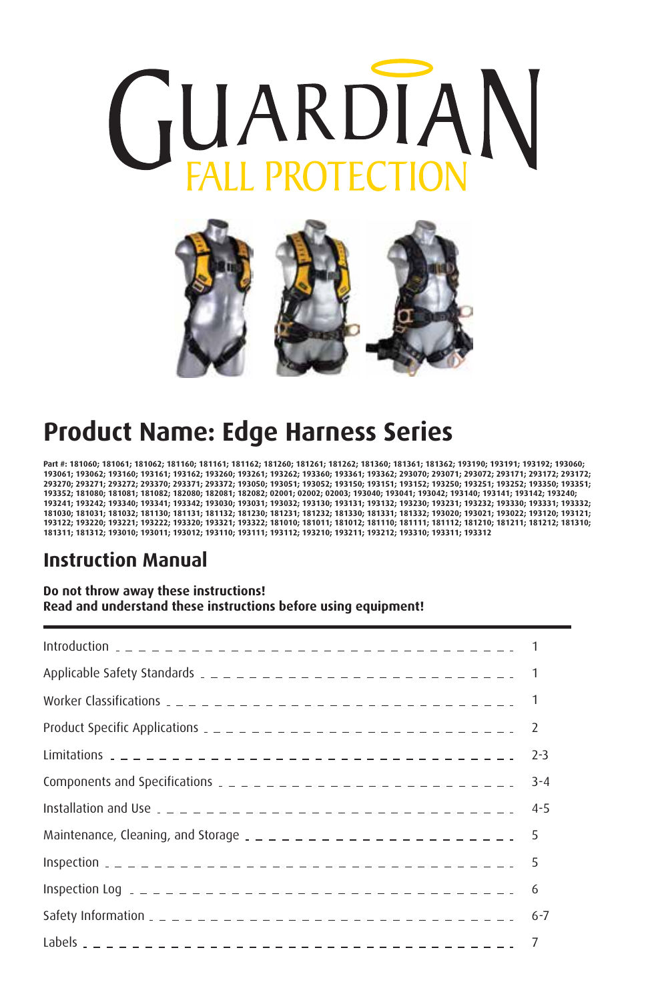



# **Product Name: Edge Harness Series**

**Part #: 181060; 181061; 181062; 181160; 181161; 181162; 181260; 181261; 181262; 181360; 181361; 181362; 193190; 193191; 193192; 193060; 193061; 193062; 193160; 193161; 193162; 193260; 193261; 193262; 193360; 193361; 193362; 293070; 293071; 293072; 293171; 293172; 293172; 293270; 293271; 293272; 293370; 293371; 293372; 193050; 193051; 193052; 193150; 193151; 193152; 193250; 193251; 193252; 193350; 193351; 193352; 181080; 181081; 181082; 182080; 182081; 182082; 02001; 02002; 02003; 193040; 193041; 193042; 193140; 193141; 193142; 193240; 193241; 193242; 193340; 193341; 193342; 193030; 193031; 193032; 193130; 193131; 193132; 193230; 193231; 193232; 193330; 193331; 193332; 181030; 181031; 181032; 181130; 181131; 181132; 181230; 181231; 181232; 181330; 181331; 181332; 193020; 193021; 193022; 193120; 193121; 193122; 193220; 193221; 193222; 193320; 193321; 193322; 181010; 181011; 181012; 181110; 181111; 181112; 181210; 181211; 181212; 181310; 181311; 181312; 193010; 193011; 193012; 193110; 193111; 193112; 193210; 193211; 193212; 193310; 193311; 193312**

#### **Instruction Manual**

#### **Do not throw away these instructions! Read and understand these instructions before using equipment!**

| Product Specific Applications $2 - 2 - 2 - 2 - 2 - 2 - 2 - 2 - 2 - 2 - 2 - 2$ | -2      |
|-------------------------------------------------------------------------------|---------|
|                                                                               | $2 - 3$ |
| Components and Specifications $2 - 2 - 2 - 2 - 2 - 2 - 2 - 2 - 2 - 2 - 2$     | $3 - 4$ |
|                                                                               | $4 - 5$ |
| Maintenance, Cleaning, and Storage $2 - 2 - 2 - 2 - 2 - 2 - 2 - 2 - 5$        |         |
|                                                                               |         |
|                                                                               |         |
|                                                                               | $6 - 7$ |
|                                                                               |         |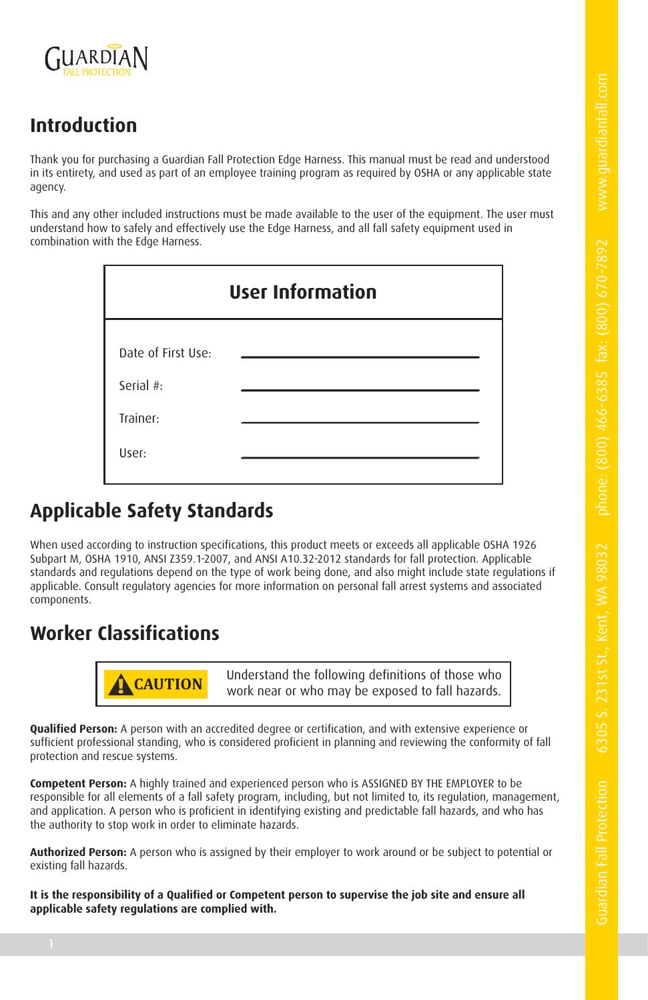

# **Introduction**

Thank you for purchasing a Guardian Fall Protection Edge Harness. This manual must be read and understood in its entirety, and used as part of an employee training program as required by OSHA or any applicable state agency.

This and any other included instructions must be made available to the user of the equipment. The user must understand how to safely and effectively use the Edge Harness, and all fall safety equipment used in combination with the Edge Harness.

| <b>User Information</b> |  |  |  |  |  |  |  |  |
|-------------------------|--|--|--|--|--|--|--|--|
| Date of First Use:      |  |  |  |  |  |  |  |  |
| Serial #:<br>Trainer:   |  |  |  |  |  |  |  |  |
| User:                   |  |  |  |  |  |  |  |  |

# **Applicable Safety Standards**

When used according to instruction specifications, this product meets or exceeds all applicable OSHA 1926 Subpart M, OSHA 1910, ANSI Z359.1-2007, and ANSI A10.32-2012 standards for fall protection. Applicable standards and regulations depend on the type of work being done, and also might include state regulations if applicable. Consult regulatory agencies for more information on personal fall arrest systems and associated components.

## **Worker Classifications**



**! CAUTION** Understand the following definitions of those who work near or who may be exposed to fall hazards.

**Qualified Person:** A person with an accredited degree or certification, and with extensive experience or sufficient professional standing, who is considered proficient in planning and reviewing the conformity of fall protection and rescue systems.

**Competent Person:** A highly trained and experienced person who is ASSIGNED BY THE EMPLOYER to be responsible for all elements of a fall safety program, including, but not limited to, its regulation, management, and application. A person who is proficient in identifying existing and predictable fall hazards, and who has the authority to stop work in order to eliminate hazards.

**Authorized Person:** A person who is assigned by their employer to work around or be subject to potential or existing fall hazards.

**It is the responsibility of a Qualified or Competent person to supervise the job site and ensure all applicable safety regulations are complied with.**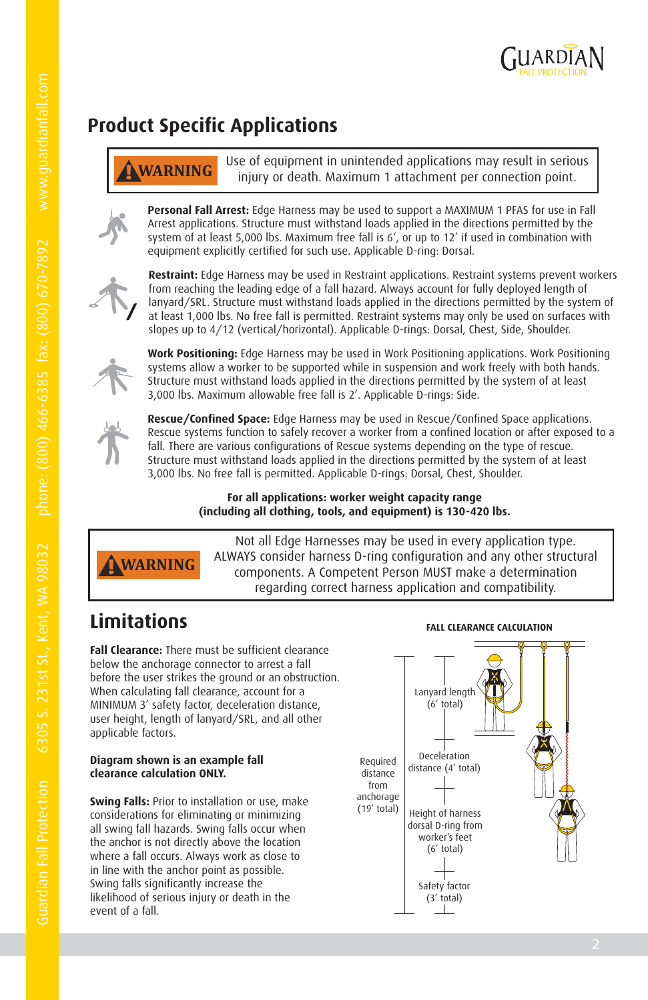

# **Product Specific Applications**

**! WARNING** Use of equipment in unintended applications may result in serious injury or death. Maximum 1 attachment per connection point.

**Personal Fall Arrest:** Edge Harness may be used to support a MAXIMUM 1 PFAS for use in Fall Arrest applications. Structure must withstand loads applied in the directions permitted by the system of at least 5,000 lbs. Maximum free fall is 6', or up to 12' if used in combination with equipment explicitly certified for such use. Applicable D-ring: Dorsal.



**Restraint:** Edge Harness may be used in Restraint applications. Restraint systems prevent workers from reaching the leading edge of a fall hazard. Always account for fully deployed length of lanyard/SRL. Structure must withstand loads applied in the directions permitted by the system of at least 1,000 lbs. No free fall is permitted. Restraint systems may only be used on surfaces with slopes up to 4/12 (vertical/horizontal). Applicable D-rings: Dorsal, Chest, Side, Shoulder.



**Work Positioning:** Edge Harness may be used in Work Positioning applications. Work Positioning systems allow a worker to be supported while in suspension and work freely with both hands. Structure must withstand loads applied in the directions permitted by the system of at least 3,000 lbs. Maximum allowable free fall is 2'. Applicable D-rings: Side.



**Rescue/Confined Space:** Edge Harness may be used in Rescue/Confined Space applications. Rescue systems function to safely recover a worker from a confined location or after exposed to a fall. There are various configurations of Rescue systems depending on the type of rescue. Structure must withstand loads applied in the directions permitted by the system of at least 3,000 lbs. No free fall is permitted. Applicable D-rings: Dorsal, Chest, Shoulder.

#### **For all applications: worker weight capacity range (including all clothing, tools, and equipment) is 130-420 lbs.**



Not all Edge Harnesses may be used in every application type. ALWAYS consider harness D-ring configuration and any other structural components. A Competent Person MUST make a determination regarding correct harness application and compatibility.

# **Limitations**

**Fall Clearance:** There must be sufficient clearance below the anchorage connector to arrest a fall before the user strikes the ground or an obstruction. When calculating fall clearance, account for a MINIMUM 3' safety factor, deceleration distance, user height, length of lanyard/SRL, and all other applicable factors.

#### **Diagram shown is an example fall clearance calculation ONLY.**

**Swing Falls:** Prior to installation or use, make considerations for eliminating or minimizing all swing fall hazards. Swing falls occur when the anchor is not directly above the location where a fall occurs. Always work as close to in line with the anchor point as possible. Swing falls significantly increase the likelihood of serious injury or death in the event of a fall.



**FALL CLEARANCE CALCULATION**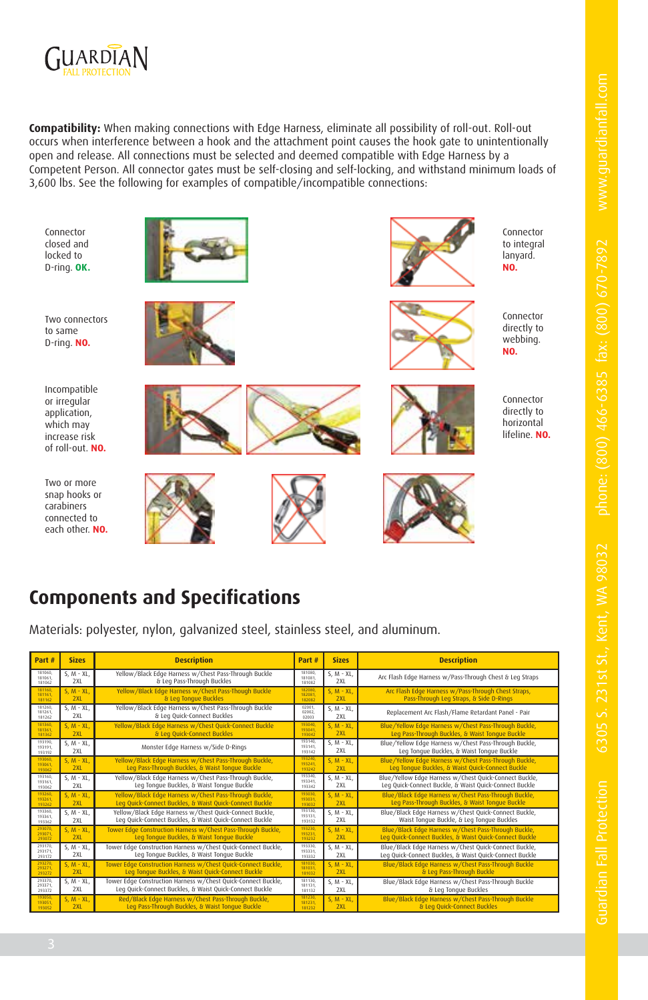

**Compatibility:** When making connections with Edge Harness, eliminate all possibility of roll-out. Roll-out occurs when interference between a hook and the attachment point causes the hook gate to unintentionally open and release. All connections must be selected and deemed compatible with Edge Harness by a Competent Person. All connector gates must be self-closing and self-locking, and withstand minimum loads of 3,600 lbs. See the following for examples of compatible/incompatible connections:

Connector closed and locked to D-ring. **OK.**

Two connectors to same D-ring. **NO.**



Two or more snap hooks or carabiners connected to each other. **NO.**













Connector to integral lanyard. **NO.**

Connector directly to webbing. **NO.**



Connector directly to horizontal lifeline. **NO.**



# **Components and Specifications**

Materials: polyester, nylon, galvanized steel, stainless steel, and aluminum.

| Part #                       | <b>Sizes</b>           | <b>Description</b>                                                                                                       | Part #                       | <b>Sizes</b>       | <b>Description</b>                                                                                               |  |  |  |  |
|------------------------------|------------------------|--------------------------------------------------------------------------------------------------------------------------|------------------------------|--------------------|------------------------------------------------------------------------------------------------------------------|--|--|--|--|
| 181060<br>181061.<br>181062  | $S. M - XL.$<br>2XL    | Yellow/Black Edge Harness w/Chest Pass-Through Buckle<br>& Leg Pass-Through Buckles                                      | 181080<br>181081.<br>181082  | $S. M - XL$<br>2X1 | Arc Flash Edge Harness w/Pass-Through Chest & Leg Straps                                                         |  |  |  |  |
| 181160<br>181161<br>181162   | $S. M - XL$<br>2XL     | Yellow/Black Edge Harness w/Chest Pass-Though Buckle<br>& Leg Tonque Buckles                                             | 182030<br>182081<br>182082   | $S. M - XL$<br>2XL | Arc Flash Edge Harness w/Pass-Through Chest Straps,<br>Pass-Through Leg Straps, & Side D-Rings                   |  |  |  |  |
| 181260.<br>181261.<br>181262 | $S, M - XL$<br>2XL     | Yellow/Black Edge Harness w/Chest Pass-Through Buckle<br>& Lea Ouick-Connect Buckles                                     | 02001<br>02002.<br>02003     | $S. M - XL$<br>2XL | Replacement Arc Flash/Flame Retardant Panel - Pair                                                               |  |  |  |  |
| 181360<br>181361<br>181362   | $S. M - XL$<br>2XL     | Yellow/Black Edge Harness w/Chest Quick-Connect Buckle<br>& Lea Ouick-Connect Buckles                                    | 193040<br>193041<br>193042   | $S. M - XL$<br>2XL | Blue/Yellow Edge Harness w/Chest Pass-Through Buckle,<br>Leg Pass-Through Buckles, & Waist Tonque Buckle         |  |  |  |  |
| 193190.<br>193191.<br>193192 | $S, M \cdot XL$<br>2XL | Monster Edge Harness w/Side D-Rings                                                                                      | 193140.<br>193141.<br>193142 | $S. M - XL$<br>2XL | Blue/Yellow Edge Harness w/Chest Pass-Through Buckle,<br>Leg Tonque Buckles, & Waist Tonque Buckle               |  |  |  |  |
| 193060<br>193061<br>193062   | $S. M - XL$<br>2XL     | Yellow/Black Edge Harness w/Chest Pass-Through Buckle,<br>Leg Pass-Through Buckles, & Waist Tonque Buckle                | 193240.<br>193241<br>193242  | $S. M - XL$<br>2XL | Blue/Yellow Edge Harness w/Chest Pass-Through Buckle,<br>Leg Tonque Buckles, & Waist Quick-Connect Buckle        |  |  |  |  |
| 193160.<br>193161.<br>193062 | $S. M - XL.$<br>2XL    | Yellow/Black Edge Harness w/Chest Pass-Through Buckle,<br>Leg Tonque Buckles, & Waist Tonque Buckle                      | 193340.<br>193341.<br>193342 | $S. M - XL$<br>2XL | Blue/Yellow Edge Harness w/Chest Quick-Connect Buckle,<br>Leg Quick-Connect Buckle, & Waist Quick-Connect Buckle |  |  |  |  |
| 193260<br>193261<br>193262   | $S. M - XL$<br>2XL     | Yellow/Black Edge Harness w/Chest Pass-Through Buckle,<br>Leg Quick-Connect Buckles, & Waist Quick-Connect Buckle        | 193030<br>193031<br>193032   | $S. M - XL$<br>2XL | Blue/Black Edge Harness w/Chest Pass-Through Buckle,<br>Leg Pass-Through Buckles, & Waist Tonque Buckle          |  |  |  |  |
| 193360.<br>193361.<br>193362 | $S. M - XL.$<br>2XL    | Yellow/Black Edge Harness w/Chest Quick-Connect Buckle,<br>Leg Quick-Connect Buckles, & Waist Quick-Connect Buckle       | 193130.<br>193131.<br>193132 | $S. M - XL$<br>2XL | Blue/Black Edge Harness w/Chest Quick-Connect Buckle,<br>Waist Tonque Buckle, & Leg Tonque Buckles               |  |  |  |  |
| 293070<br>293071<br>293072   | $S. M - XL$<br>2XL     | Tower Edge Construction Harness w/Chest Pass-Through Buckle,<br>Leg Tonque Buckles, & Waist Tonque Buckle                | 193230<br>193231<br>193232   | $S. M - XL$<br>2XL | Blue/Black Edge Harness w/Chest Pass-Through Buckle,<br>Leg Quick-Connect Buckles, & Waist Quick-Connect Buckle  |  |  |  |  |
| 293170.<br>293171.<br>293172 | $S. M - XL.$<br>2XL    | Tower Edge Construction Harness w/Chest Quick-Connect Buckle,<br>Leg Tonque Buckles, & Waist Tonque Buckle               | 193330.<br>193331.<br>193332 | $S. M - XL$<br>2XL | Blue/Black Edge Harness w/Chest Quick-Connect Buckle,<br>Leg Quick-Connect Buckles, & Waist Quick-Connect Buckle |  |  |  |  |
| 293270<br>293271<br>293272   | $S. M - XL$<br>2XL     | Tower Edge Construction Harness w/Chest Quick-Connect Buckle,<br>Leg Tonque Buckles, & Waist Quick-Connect Buckle        | 181030<br>181031<br>181032   | $S. M - XL$<br>2XL | Blue/Black Edge Harness w/Chest Pass-Through Buckle<br>& Leg Pass-Through Buckle                                 |  |  |  |  |
| 293370.<br>293371.<br>293372 | $S, M \cdot XL$<br>2XL | Tower Edge Construction Harness w/Chest Quick-Connect Buckle,<br>Leg Quick-Connect Buckles, & Waist Quick-Connect Buckle | 181130.<br>181131.<br>181132 | $S. M - XL$<br>2XL | Blue/Black Edge Harness w/Chest Pass-Through Buckle<br>& Leg Tonque Buckles                                      |  |  |  |  |
| 193050<br>193051<br>193052   | $S. M - XL$<br>2XL     | Red/Black Edge Harness w/Chest Pass-Through Buckle,<br>Lea Pass-Through Buckles, & Waist Tongue Buckle                   | 181230<br>181231<br>181232   | $S. M - XL$<br>2XL | Blue/Black Edge Harness w/Chest Pass-Through Buckle<br>& Leg Quick-Connect Buckles                               |  |  |  |  |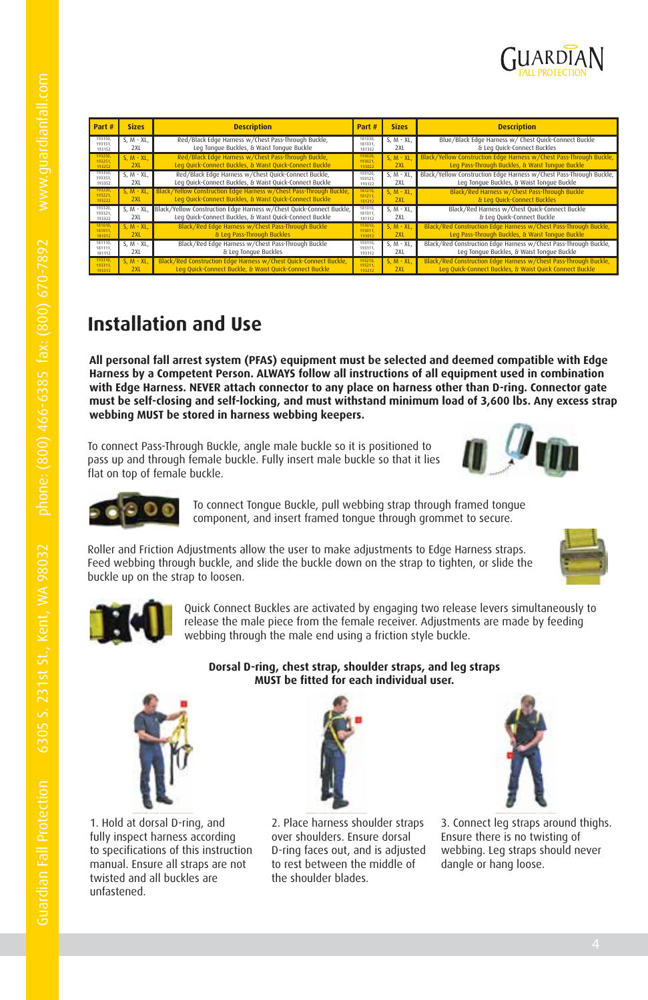

| Part#                        | <b>Sizes</b>        | <b>Description</b>                                                                                                              | Part #                       | <b>Sizes</b>        | <b>Description</b>                                                                                                          |  |  |  |
|------------------------------|---------------------|---------------------------------------------------------------------------------------------------------------------------------|------------------------------|---------------------|-----------------------------------------------------------------------------------------------------------------------------|--|--|--|
| 193150.<br>193151.<br>193152 | $S. M - XL.$<br>2XL | Red/Black Edge Harness w/Chest Pass-Through Buckle,<br>Leg Tongue Buckles, & Waist Tongue Buckle                                | 181330.<br>181331.<br>181332 | $S. M - XL.$<br>2XL | Blue/Black Edge Harness w/ Chest Quick-Connect Buckle<br>& Leg Quick-Connect Buckles                                        |  |  |  |
| 193250<br>193251.<br>193252  | $S. M - XL$<br>2XL  | Red/Black Edge Harness w/Chest Pass-Through Buckle,<br>Leg Quick-Connect Buckles, & Waist Quick-Connect Buckle                  | 193020<br>193021<br>193022   | $S. M - XL.$<br>2XL | Black/Yellow Construction Edge Harness w/Chest Pass-Through Buckle,<br>Leg Pass-Through Buckles, & Waist Tonque Buckle      |  |  |  |
| 193350.<br>193351.<br>193352 | $S. M - XL.$<br>2XL | Red/Black Edge Harness w/Chest Quick-Connect Buckle,<br>Leg Quick-Connect Buckles, & Waist Quick-Connect Buckle                 | 193120.<br>193121.<br>193122 | $S. M - XL.$<br>2XL | Black/Yellow Construction Edge Harness w/Chest Pass-Through Buckle,<br>Leg Tonque Buckles, & Waist Tonque Buckle            |  |  |  |
| 193220,<br>193221.<br>193222 | $S. M - XL$<br>2XL  | Black/Yellow Construction Edge Harness w/Chest Pass-Through Buckle,<br>Leg Quick-Connect Buckles, & Waist Quick-Connect Buckle  | 181210.<br>181211.<br>181212 | $S. M - XL$<br>2XL  | Black/Red Harness w/Chest Pass-Through Buckle<br>& Leg Quick-Connect Buckles                                                |  |  |  |
| 193320.<br>193321.<br>193322 | $S. M - XL.$<br>2XL | Black/Yellow Construction Edge Harness w/Chest Ouick-Connect Buckle.<br>Leg Quick-Connect Buckles, & Waist Quick-Connect Buckle | 181310.<br>181311.<br>181312 | $S. M - XL.$<br>2XL | Black/Red Harness w/Chest Ouick-Connect Buckle<br>& Lea Ouick-Connect Buckle                                                |  |  |  |
| 181010<br>181011.<br>181012  | $S. M - XL.$<br>2XI | Black/Red Edge Harness w/Chest Pass-Through Buckle<br>& Leg Pass-Through Buckles                                                | 193010<br>193011.<br>193012  | $S. M - XL.$<br>2XI | Black/Red Construction Edge Harness w/Chest Pass-Through Buckle,<br>Leg Pass-Through Buckles, & Waist Tonque Buckle         |  |  |  |
| 181110.<br>181111.<br>181112 | $S. M - XL.$<br>2XL | Black/Red Edge Harness w/Chest Pass-Through Buckle<br>& Leg Tonque Buckles                                                      | 193110,<br>193111.<br>193112 | $S. M - XL.$<br>2XL | Black/Red Construction Edge Harness w/Chest Pass-Through Buckle,<br>Leg Tonque Buckles, & Waist Tonque Buckle               |  |  |  |
| 193310,<br>193311.<br>193312 | $S. M - XL$<br>2X1  | Black/Red Construction Edge Harness w/Chest Quick-Connect Buckle,<br>Leg Ouick-Connect Buckle, & Waist Ouick-Connect Buckle     | 193210<br>193211.<br>193212  | $S. M - XL.$<br>2XL | Black/Red Construction Edge Harness w/Chest Pass-Through Buckle,<br>Leg Quick-Connect Buckles, & Waist Quick Connect Buckle |  |  |  |

## **Installation and Use**

**All personal fall arrest system (PFAS) equipment must be selected and deemed compatible with Edge Harness by a Competent Person. ALWAYS follow all instructions of all equipment used in combination with Edge Harness. NEVER attach connector to any place on harness other than D-ring. Connector gate must be self-closing and self-locking, and must withstand minimum load of 3,600 lbs. Any excess strap webbing MUST be stored in harness webbing keepers.**

To connect Pass-Through Buckle, angle male buckle so it is positioned to pass up and through female buckle. Fully insert male buckle so that it lies flat on top of female buckle.





To connect Tongue Buckle, pull webbing strap through framed tongue component, and insert framed tongue through grommet to secure.

Roller and Friction Adjustments allow the user to make adjustments to Edge Harness straps. Feed webbing through buckle, and slide the buckle down on the strap to tighten, or slide the buckle up on the strap to loosen.





Quick Connect Buckles are activated by engaging two release levers simultaneously to release the male piece from the female receiver. Adjustments are made by feeding webbing through the male end using a friction style buckle.

1. Hold at dorsal D-ring, and fully inspect harness according to specifications of this instruction manual. Ensure all straps are not twisted and all buckles are unfastened.



**Dorsal D-ring, chest strap, shoulder straps, and leg straps MUST be fitted for each individual user.**

2. Place harness shoulder straps over shoulders. Ensure dorsal D-ring faces out, and is adjusted to rest between the middle of the shoulder blades.



3. Connect leg straps around thighs. Ensure there is no twisting of webbing. Leg straps should never dangle or hang loose.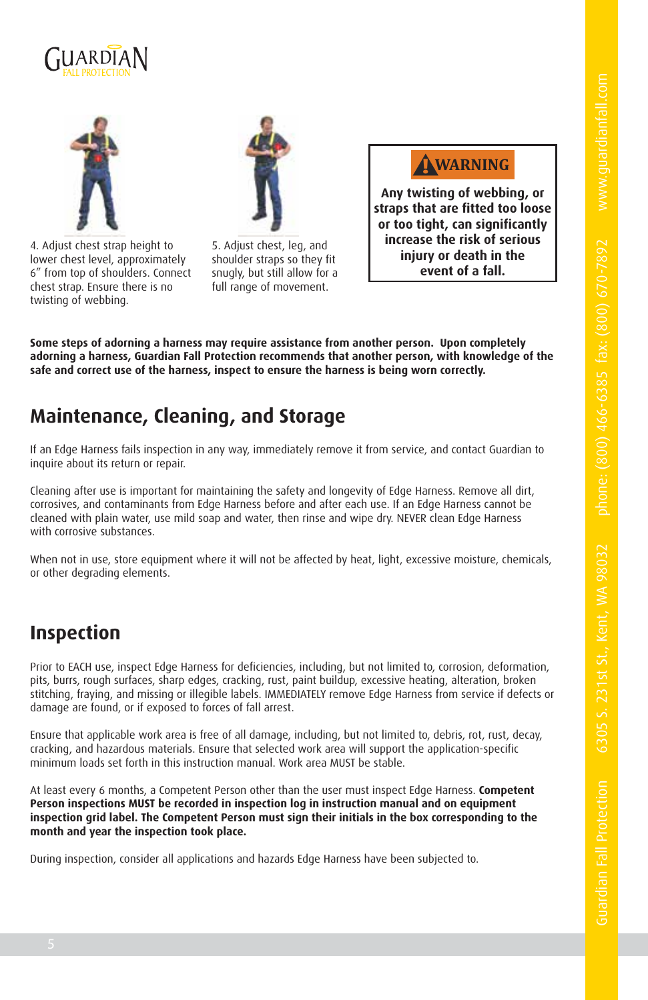



4. Adjust chest strap height to lower chest level, approximately 6" from top of shoulders. Connect chest strap. Ensure there is no twisting of webbing.



5. Adjust chest, leg, and shoulder straps so they fit snugly, but still allow for a full range of movement.

**! WARNING**

**Any twisting of webbing, or straps that are fitted too loose or too tight, can significantly increase the risk of serious injury or death in the event of a fall.**

**Some steps of adorning a harness may require assistance from another person. Upon completely adorning a harness, Guardian Fall Protection recommends that another person, with knowledge of the safe and correct use of the harness, inspect to ensure the harness is being worn correctly.**

#### **Maintenance, Cleaning, and Storage**

If an Edge Harness fails inspection in any way, immediately remove it from service, and contact Guardian to inquire about its return or repair.

Cleaning after use is important for maintaining the safety and longevity of Edge Harness. Remove all dirt, corrosives, and contaminants from Edge Harness before and after each use. If an Edge Harness cannot be cleaned with plain water, use mild soap and water, then rinse and wipe dry. NEVER clean Edge Harness with corrosive substances.

When not in use, store equipment where it will not be affected by heat, light, excessive moisture, chemicals, or other degrading elements.

#### **Inspection**

Prior to EACH use, inspect Edge Harness for deficiencies, including, but not limited to, corrosion, deformation, pits, burrs, rough surfaces, sharp edges, cracking, rust, paint buildup, excessive heating, alteration, broken stitching, fraying, and missing or illegible labels. IMMEDIATELY remove Edge Harness from service if defects or damage are found, or if exposed to forces of fall arrest.

Ensure that applicable work area is free of all damage, including, but not limited to, debris, rot, rust, decay, cracking, and hazardous materials. Ensure that selected work area will support the application-specific minimum loads set forth in this instruction manual. Work area MUST be stable.

At least every 6 months, a Competent Person other than the user must inspect Edge Harness. **Competent Person inspections MUST be recorded in inspection log in instruction manual and on equipment inspection grid label. The Competent Person must sign their initials in the box corresponding to the month and year the inspection took place.**

During inspection, consider all applications and hazards Edge Harness have been subjected to.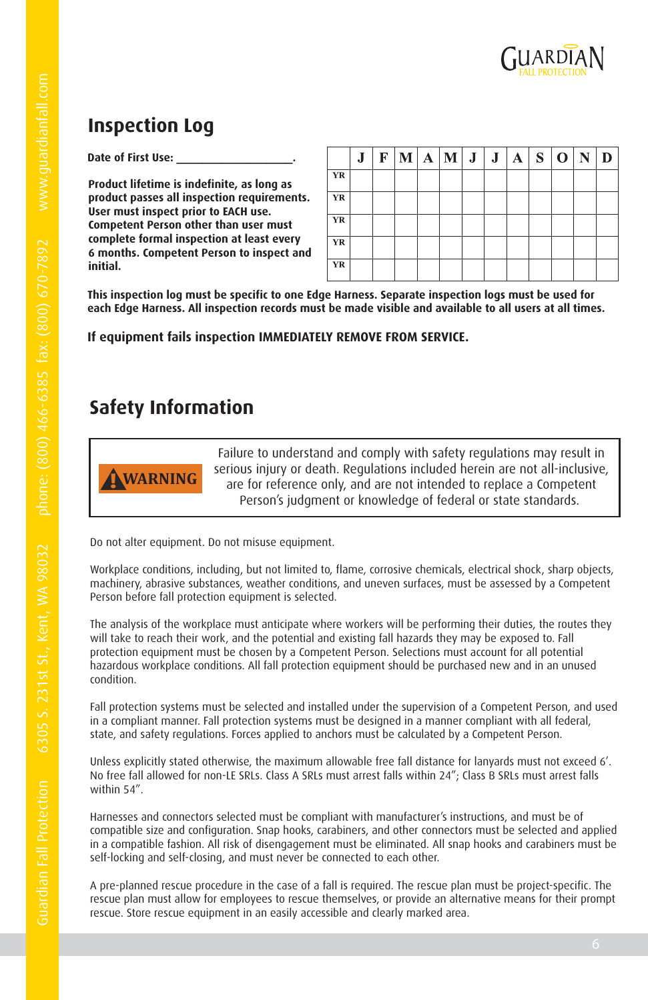

## **Inspection Log**

Date of First Use:

**Product lifetime is indefinite, as long as product passes all inspection requirements. User must inspect prior to EACH use. Competent Person other than user must complete formal inspection at least every 6 months. Competent Person to inspect and initial.**

|           | J | F | $\mathbf{M}$ | A M J J |  | A | $S^{\dagger}$ | $\mathbf 0$ |  |
|-----------|---|---|--------------|---------|--|---|---------------|-------------|--|
| YR        |   |   |              |         |  |   |               |             |  |
| YR        |   |   |              |         |  |   |               |             |  |
| YR        |   |   |              |         |  |   |               |             |  |
| YR        |   |   |              |         |  |   |               |             |  |
| <b>YR</b> |   |   |              |         |  |   |               |             |  |

**This inspection log must be specific to one Edge Harness. Separate inspection logs must be used for each Edge Harness. All inspection records must be made visible and available to all users at all times.**

#### **If equipment fails inspection IMMEDIATELY REMOVE FROM SERVICE.**

## **Safety Information**



Failure to understand and comply with safety regulations may result in serious injury or death. Regulations included herein are not all-inclusive, are for reference only, and are not intended to replace a Competent Person's judgment or knowledge of federal or state standards.

Do not alter equipment. Do not misuse equipment.

Workplace conditions, including, but not limited to, flame, corrosive chemicals, electrical shock, sharp objects, machinery, abrasive substances, weather conditions, and uneven surfaces, must be assessed by a Competent Person before fall protection equipment is selected.

The analysis of the workplace must anticipate where workers will be performing their duties, the routes they will take to reach their work, and the potential and existing fall hazards they may be exposed to. Fall protection equipment must be chosen by a Competent Person. Selections must account for all potential hazardous workplace conditions. All fall protection equipment should be purchased new and in an unused condition.

Fall protection systems must be selected and installed under the supervision of a Competent Person, and used in a compliant manner. Fall protection systems must be designed in a manner compliant with all federal, state, and safety regulations. Forces applied to anchors must be calculated by a Competent Person.

Unless explicitly stated otherwise, the maximum allowable free fall distance for lanyards must not exceed 6'. No free fall allowed for non-LE SRLs. Class A SRLs must arrest falls within 24"; Class B SRLs must arrest falls within 54".

Harnesses and connectors selected must be compliant with manufacturer's instructions, and must be of compatible size and configuration. Snap hooks, carabiners, and other connectors must be selected and applied in a compatible fashion. All risk of disengagement must be eliminated. All snap hooks and carabiners must be self-locking and self-closing, and must never be connected to each other.

A pre-planned rescue procedure in the case of a fall is required. The rescue plan must be project-specific. The rescue plan must allow for employees to rescue themselves, or provide an alternative means for their prompt rescue. Store rescue equipment in an easily accessible and clearly marked area.